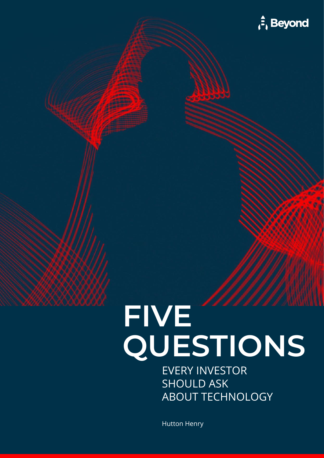

# **QUESTIONS**

EVERY INVESTOR SHOULD ASK ABOUT TECHNOLOGY

Hutton Henry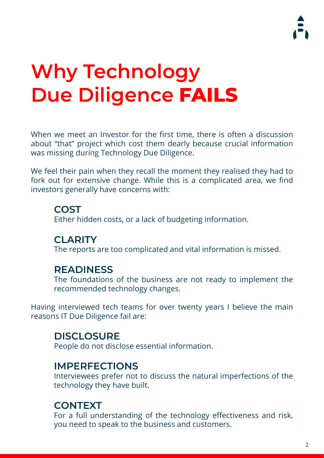### **Why Technology Due Diligence FAILS**

When we meet an Investor for the first time, there is often a discussion about "that" project which cost them dearly because crucial information was missing during Technology Due Diligence.

We feel their pain when they recall the moment they realised they had to fork out for extensive change. While this is a complicated area, we find investors generally have concerns with:

#### **COST**

Either hidden costs, or a lack of budgeting information.

#### **CLARITY**

The reports are too complicated and vital information is missed.

### **READINESS**

The foundations of the business are not ready to implement the recommended technology changes.

Having interviewed tech teams for over twenty years I believe the main reasons IT Due Diligence fail are:

### **DISCLOSURE**

People do not disclose essential information.

#### **IMPERFECTIONS**

Interviewees prefer not to discuss the natural imperfections of the technology they have built.

#### **CONTEXT**

For a full understanding of the technology effectiveness and risk, you need to speak to the business and customers.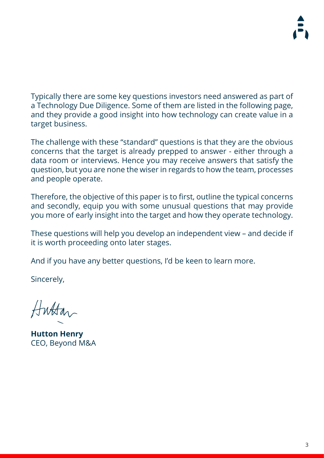Typically there are some key questions investors need answered as part of a Technology Due Diligence. Some of them are listed in the following page, and they provide a good insight into how technology can create value in a target business.

The challenge with these "standard" questions is that they are the obvious concerns that the target is already prepped to answer - either through a data room or interviews. Hence you may receive answers that satisfy the question, but you are none the wiser in regards to how the team, processes and people operate.

Therefore, the objective of this paper is to first, outline the typical concerns and secondly, equip you with some unusual questions that may provide you more of early insight into the target and how they operate technology.

These questions will help you develop an independent view – and decide if it is worth proceeding onto later stages.

And if you have any better questions, I'd be keen to learn more.

Sincerely,

Antan

**Hutton Henry** CEO, Beyond M&A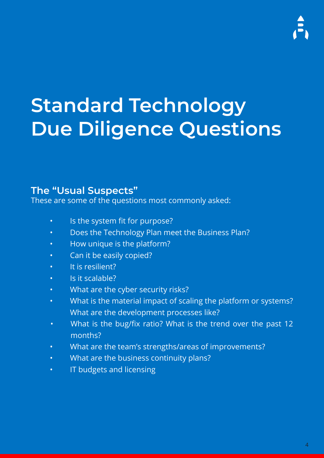### **Standard Technology Due Diligence Questions**

### **The "Usual Suspects"**

These are some of the questions most commonly asked:

- Is the system fit for purpose?
- Does the Technology Plan meet the Business Plan?
- How unique is the platform?
- Can it be easily copied?
- It is resilient?
- Is it scalable?
- What are the cyber security risks?
- What is the material impact of scaling the platform or systems? What are the development processes like?
- What is the bug/fix ratio? What is the trend over the past 12 months?
- What are the team's strengths/areas of improvements?
- What are the business continuity plans?
- IT budgets and licensing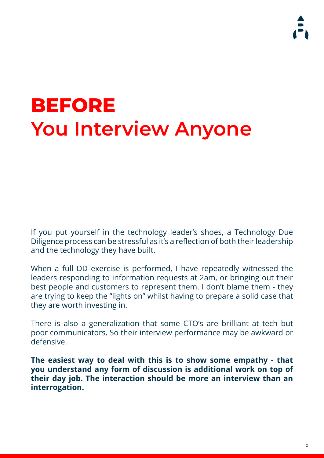### **BEFORE You Interview Anyone**

If you put yourself in the technology leader's shoes, a Technology Due Diligence process can be stressful as it's a reflection of both their leadership and the technology they have built.

When a full DD exercise is performed, I have repeatedly witnessed the leaders responding to information requests at 2am, or bringing out their best people and customers to represent them. I don't blame them - they are trying to keep the "lights on" whilst having to prepare a solid case that they are worth investing in.

There is also a generalization that some CTO's are brilliant at tech but poor communicators. So their interview performance may be awkward or defensive.

**The easiest way to deal with this is to show some empathy - that you understand any form of discussion is additional work on top of their day job. The interaction should be more an interview than an interrogation.**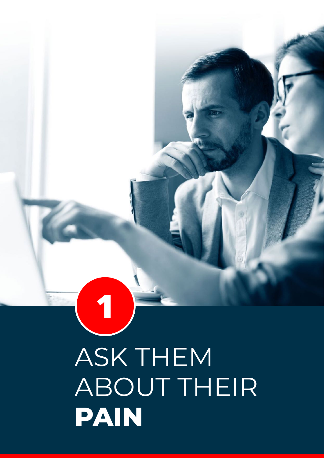# ASK THEM ABOUT THEIR **PAIN**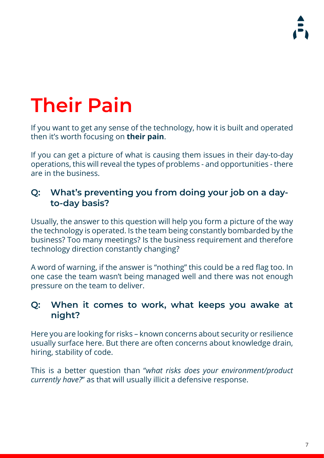### **Their Pain**

If you want to get any sense of the technology, how it is built and operated then it's worth focusing on **their pain**.

If you can get a picture of what is causing them issues in their day-to-day operations, this will reveal the types of problems - and opportunities - there are in the business.

#### **Q: What's preventing you from doing your job on a dayto-day basis?**

Usually, the answer to this question will help you form a picture of the way the technology is operated. Is the team being constantly bombarded by the business? Too many meetings? Is the business requirement and therefore technology direction constantly changing?

A word of warning, if the answer is "nothing" this could be a red flag too. In one case the team wasn't being managed well and there was not enough pressure on the team to deliver.

#### **Q: When it comes to work, what keeps you awake at night?**

Here you are looking for risks – known concerns about security or resilience usually surface here. But there are often concerns about knowledge drain, hiring, stability of code.

This is a better question than "*what risks does your environment/product currently have?*" as that will usually illicit a defensive response.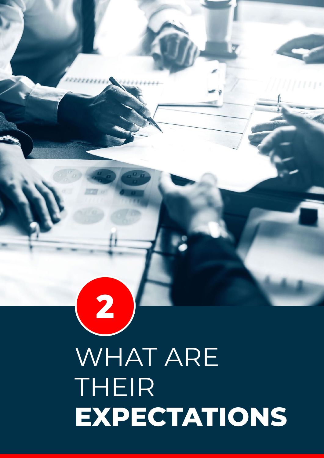## WHAT ARE THEIR **EXPECTATIONS**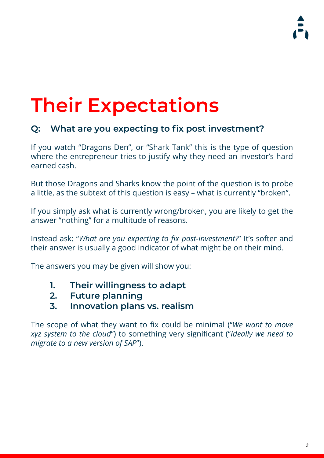### **Their Expectations**

### **Q: What are you expecting to fix post investment?**

If you watch "Dragons Den", or "Shark Tank" this is the type of question where the entrepreneur tries to justify why they need an investor's hard earned cash.

But those Dragons and Sharks know the point of the question is to probe a little, as the subtext of this question is easy – what is currently "broken".

If you simply ask what is currently wrong/broken, you are likely to get the answer "nothing" for a multitude of reasons.

Instead ask: "*What are you expecting to fix post-investment?*" It's softer and their answer is usually a good indicator of what might be on their mind.

The answers you may be given will show you:

- **1. Their willingness to adapt**
- **2. Future planning**
- **3. Innovation plans vs. realism**

The scope of what they want to fix could be minimal ("*We want to move xyz system to the cloud*") to something very significant ("*Ideally we need to migrate to a new version of SAP*").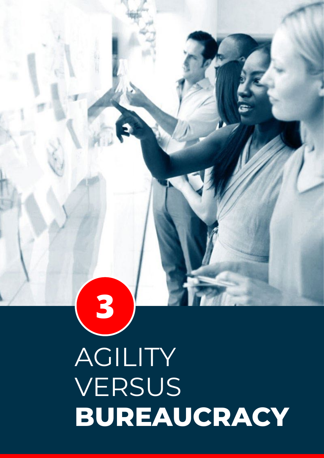# AGILITY VERSUS **BUREAUCRACY**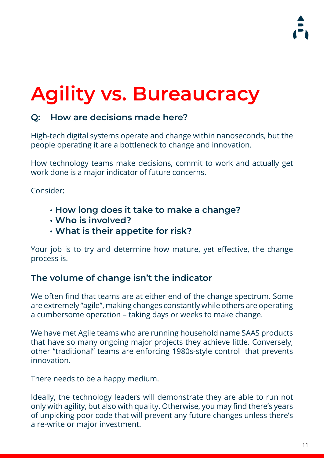### **Agility vs. Bureaucracy**

### **Q: How are decisions made here?**

High-tech digital systems operate and change within nanoseconds, but the people operating it are a bottleneck to change and innovation.

How technology teams make decisions, commit to work and actually get work done is a major indicator of future concerns.

Consider:

- **How long does it take to make a change?**
- **Who is involved?**
- **What is their appetite for risk?**

Your job is to try and determine how mature, yet effective, the change process is.

#### **The volume of change isn't the indicator**

We often find that teams are at either end of the change spectrum. Some are extremely "agile", making changes constantly while others are operating a cumbersome operation – taking days or weeks to make change.

We have met Agile teams who are running household name SAAS products that have so many ongoing major projects they achieve little. Conversely, other "traditional" teams are enforcing 1980s-style control that prevents innovation.

There needs to be a happy medium.

Ideally, the technology leaders will demonstrate they are able to run not only with agility, but also with quality. Otherwise, you may find there's years of unpicking poor code that will prevent any future changes unless there's a re-write or major investment.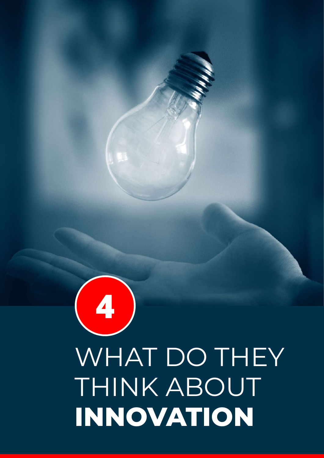# WHAT DO THEY THINK ABOUT **INNOVATION**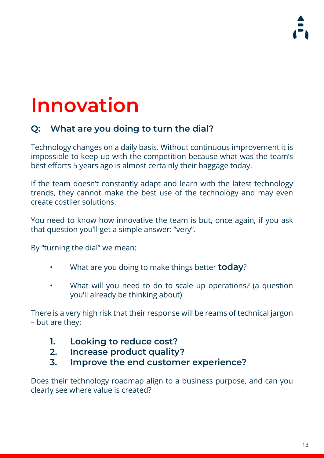### **Innovation**

### **Q: What are you doing to turn the dial?**

Technology changes on a daily basis. Without continuous improvement it is impossible to keep up with the competition because what was the team's best efforts 5 years ago is almost certainly their baggage today.

If the team doesn't constantly adapt and learn with the latest technology trends, they cannot make the best use of the technology and may even create costlier solutions.

You need to know how innovative the team is but, once again, if you ask that question you'll get a simple answer: "very".

By "turning the dial" we mean:

- What are you doing to make things better **today**?
- What will you need to do to scale up operations? (a question you'll already be thinking about)

There is a very high risk that their response will be reams of technical jargon – but are they:

- **1. Looking to reduce cost?**
- **2. Increase product quality?**
- **3. Improve the end customer experience?**

Does their technology roadmap align to a business purpose, and can you clearly see where value is created?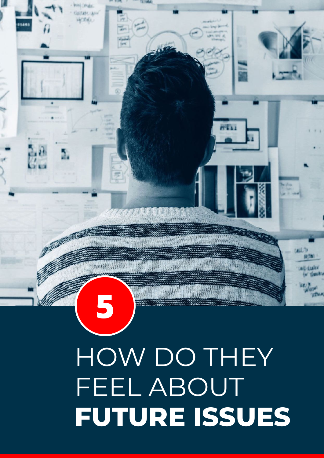# HOW DO THEY FEEL ABOUT **FUTURE ISSUES**

拉菲斯

**5**

**PANEL PILEE** 山けあしにあい CKK)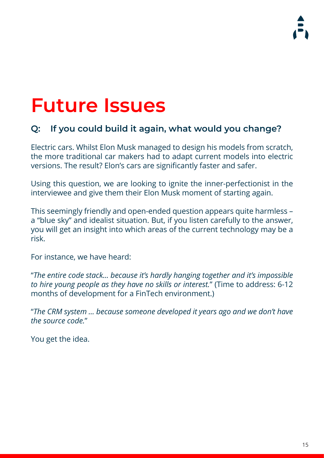### **Future Issues**

### **Q: If you could build it again, what would you change?**

Electric cars. Whilst Elon Musk managed to design his models from scratch, the more traditional car makers had to adapt current models into electric versions. The result? Elon's cars are significantly faster and safer.

Using this question, we are looking to ignite the inner-perfectionist in the interviewee and give them their Elon Musk moment of starting again.

This seemingly friendly and open-ended question appears quite harmless – a "blue sky" and idealist situation. But, if you listen carefully to the answer, you will get an insight into which areas of the current technology may be a risk.

For instance, we have heard:

"*The entire code stack... because it's hardly hanging together and it's impossible to hire young people as they have no skills or interest.*" (Time to address: 6-12 months of development for a FinTech environment.)

"*The CRM system ... because someone developed it years ago and we don't have the source code.*"

You get the idea.